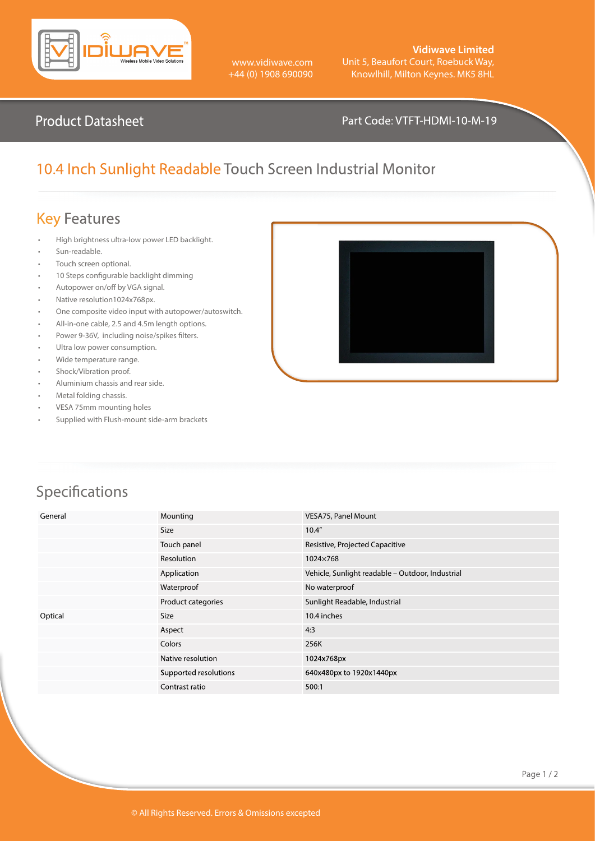

www.vidiwave.com +44 (0) 1908 690090

#### **Vidiwave Limited** Unit 5, Beaufort Court, Roebuck Way, Knowlhill, Milton Keynes. MK5 8HL

#### Product Datasheet **Product Datasheet** Part Code: VTFT-HDMI-10-M-19

## 10.4 Inch Sunlight Readable Touch Screen Industrial Monitor

### Key Features

- High brightness ultra-low power LED backlight.
- Sun-readable.
- Touch screen optional.
- 10 Steps configurable backlight dimming
- Autopower on/off by VGA signal.
- Native resolution1024x768px.
- One composite video input with autopower/autoswitch.
- All-in-one cable, 2.5 and 4.5m length options.
- Power 9-36V, including noise/spikes filters.
- Ultra low power consumption.
- Wide temperature range.
- Shock/Vibration proof.
- Aluminium chassis and rear side.
- Metal folding chassis.
- VESA 75mm mounting holes
- Supplied with Flush-mount side-arm brackets



# Specifications

| General | Mounting              | VESA75, Panel Mount                              |
|---------|-----------------------|--------------------------------------------------|
|         | <b>Size</b>           | 10.4"                                            |
|         | Touch panel           | Resistive, Projected Capacitive                  |
|         | Resolution            | 1024×768                                         |
|         | Application           | Vehicle, Sunlight readable - Outdoor, Industrial |
|         | Waterproof            | No waterproof                                    |
|         | Product categories    | Sunlight Readable, Industrial                    |
| Optical | Size                  | 10.4 inches                                      |
|         | Aspect                | 4:3                                              |
|         | Colors                | 256K                                             |
|         | Native resolution     | 1024x768px                                       |
|         | Supported resolutions | 640x480px to 1920x1440px                         |
|         | Contrast ratio        | 500:1                                            |